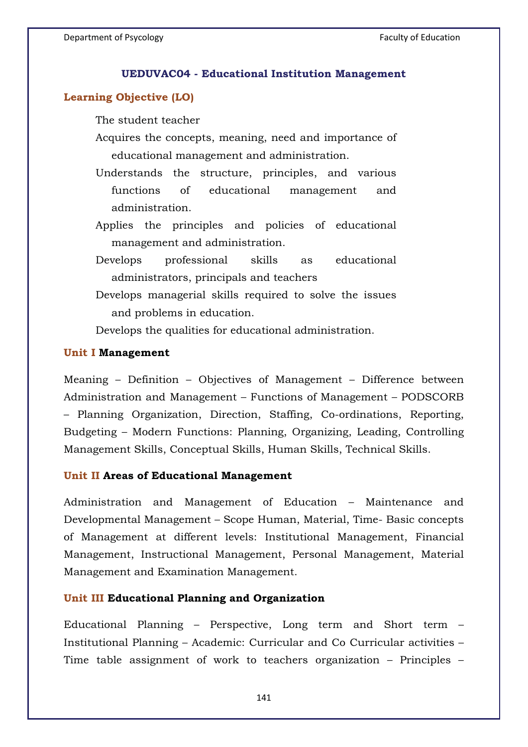#### **UEDUVAC04 - Educational Institution Management**

### **Learning Objective (LO)**

The student teacher

- Acquires the concepts, meaning, need and importance of educational management and administration.
- Understands the structure, principles, and various functions of educational management and administration.
- Applies the principles and policies of educational management and administration.
- Develops professional skills as educational administrators, principals and teachers
- Develops managerial skills required to solve the issues and problems in education.

Develops the qualities for educational administration.

#### **Unit I Management**

Meaning – Definition – Objectives of Management – Difference between Administration and Management – Functions of Management – PODSCORB – Planning Organization, Direction, Staffing, Co-ordinations, Reporting, Budgeting – Modern Functions: Planning, Organizing, Leading, Controlling Management Skills, Conceptual Skills, Human Skills, Technical Skills.

#### **Unit II Areas of Educational Management**

Administration and Management of Education – Maintenance and Developmental Management – Scope Human, Material, Time- Basic concepts of Management at different levels: Institutional Management, Financial Management, Instructional Management, Personal Management, Material Management and Examination Management.

#### **Unit III Educational Planning and Organization**

Educational Planning – Perspective, Long term and Short term – Institutional Planning – Academic: Curricular and Co Curricular activities – Time table assignment of work to teachers organization – Principles –